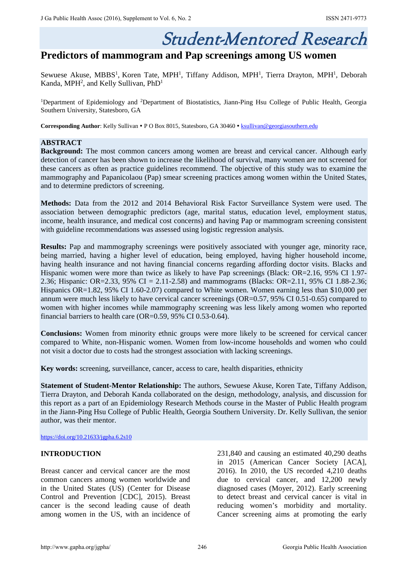# Student-Mentored Research

# **Predictors of mammogram and Pap screenings among US women**

Sewuese Akuse, MBBS<sup>1</sup>, Koren Tate, MPH<sup>1</sup>, Tiffany Addison, MPH<sup>1</sup>, Tierra Drayton, MPH<sup>1</sup>, Deborah Kanda, MPH<sup>2</sup>, and Kelly Sullivan, PhD<sup>1</sup>

<sup>1</sup>Department of Epidemiology and <sup>2</sup>Department of Biostatistics, Jiann-Ping Hsu College of Public Health, Georgia Southern University, Statesboro, GA

**Corresponding Author**: Kelly Sullivan • P O Box 8015, Statesboro, GA 30460 • [ksullivan@georgiasouthern.edu](mailto:ksullivan@georgiasouthern.edu)

# **ABSTRACT**

**Background:** The most common cancers among women are breast and cervical cancer. Although early detection of cancer has been shown to increase the likelihood of survival, many women are not screened for these cancers as often as practice guidelines recommend. The objective of this study was to examine the mammography and Papanicolaou (Pap) smear screening practices among women within the United States, and to determine predictors of screening.

**Methods:** Data from the 2012 and 2014 Behavioral Risk Factor Surveillance System were used. The association between demographic predictors (age, marital status, education level, employment status, income, health insurance, and medical cost concerns) and having Pap or mammogram screening consistent with guideline recommendations was assessed using logistic regression analysis.

**Results:** Pap and mammography screenings were positively associated with younger age, minority race, being married, having a higher level of education, being employed, having higher household income, having health insurance and not having financial concerns regarding affording doctor visits. Blacks and Hispanic women were more than twice as likely to have Pap screenings (Black: OR=2.16, 95% CI 1.97- 2.36; Hispanic: OR=2.33, 95% CI = 2.11-2.58) and mammograms (Blacks: OR=2.11, 95% CI 1.88-2.36; Hispanics OR=1.82, 95% CI 1.60-2.07) compared to White women. Women earning less than \$10,000 per annum were much less likely to have cervical cancer screenings (OR=0.57, 95% CI 0.51-0.65) compared to women with higher incomes while mammography screening was less likely among women who reported financial barriers to health care (OR= $0.59$ , 95% CI 0.53-0.64).

**Conclusions:** Women from minority ethnic groups were more likely to be screened for cervical cancer compared to White, non-Hispanic women. Women from low-income households and women who could not visit a doctor due to costs had the strongest association with lacking screenings.

**Key words:** screening, surveillance, cancer, access to care, health disparities, ethnicity

**Statement of Student-Mentor Relationship:** The authors, Sewuese Akuse, Koren Tate, Tiffany Addison, Tierra Drayton, and Deborah Kanda collaborated on the design, methodology, analysis, and discussion for this report as a part of an Epidemiology Research Methods course in the Master of Public Health program in the Jiann-Ping Hsu College of Public Health, Georgia Southern University. Dr. Kelly Sullivan, the senior author, was their mentor.

<https://doi.org/10.21633/jgpha.6.2s10>

# **INTRODUCTION**

Breast cancer and cervical cancer are the most common cancers among women worldwide and in the United States (US) (Center for Disease Control and Prevention [CDC], 2015). Breast cancer is the second leading cause of death among women in the US, with an incidence of 231,840 and causing an estimated 40,290 deaths in 2015 (American Cancer Society [ACA], 2016). In 2010, the US recorded 4,210 deaths due to cervical cancer, and 12,200 newly diagnosed cases (Moyer, 2012). Early screening to detect breast and cervical cancer is vital in reducing women's morbidity and mortality. Cancer screening aims at promoting the early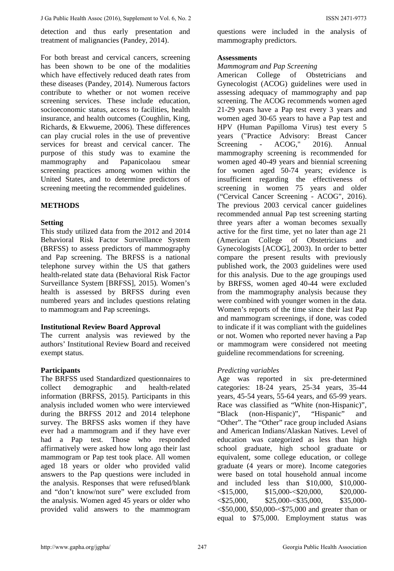detection and thus early presentation and treatment of malignancies (Pandey, 2014).

For both breast and cervical cancers, screening has been shown to be one of the modalities which have effectively reduced death rates from these diseases (Pandey, 2014). Numerous factors contribute to whether or not women receive screening services. These include education, socioeconomic status, access to facilities, health insurance, and health outcomes (Coughlin, King, Richards, & Ekwueme, 2006). These differences can play crucial roles in the use of preventive services for breast and cervical cancer. The purpose of this study was to examine the mammography and Papanicolaou smear screening practices among women within the United States, and to determine predictors of screening meeting the recommended guidelines.

# **METHODS**

# **Setting**

This study utilized data from the 2012 and 2014 Behavioral Risk Factor Surveillance System (BRFSS) to assess predictors of mammography and Pap screening. The BRFSS is a national telephone survey within the US that gathers health-related state data (Behavioral Risk Factor Surveillance System [BRFSS], 2015). Women's health is assessed by BRFSS during even numbered years and includes questions relating to mammogram and Pap screenings.

# **Institutional Review Board Approval**

The current analysis was reviewed by the authors' Institutional Review Board and received exempt status.

# **Participants**

The BRFSS used Standardized questionnaires to collect demographic and health-related information (BRFSS, 2015). Participants in this analysis included women who were interviewed during the BRFSS 2012 and 2014 telephone survey. The BRFSS asks women if they have ever had a mammogram and if they have ever had a Pap test. Those who responded affirmatively were asked how long ago their last mammogram or Pap test took place. All women aged 18 years or older who provided valid answers to the Pap questions were included in the analysis. Responses that were refused/blank and "don't know/not sure" were excluded from the analysis. Women aged 45 years or older who provided valid answers to the mammogram

questions were included in the analysis of mammography predictors.

#### **Assessments**

#### *Mammogram and Pap Screening*

American College of Obstetricians and Gynecologist (ACOG) guidelines were used in assessing adequacy of mammography and pap screening. The ACOG recommends women aged 21-29 years have a Pap test every 3 years and women aged 30-65 years to have a Pap test and HPV (Human Papilloma Virus) test every 5 years ("Practice Advisory: Breast Cancer Screening - ACOG," 2016). Annual mammography screening is recommended for women aged 40-49 years and biennial screening for women aged 50-74 years; evidence is insufficient regarding the effectiveness of screening in women 75 years and older ("Cervical Cancer Screening - ACOG", 2016). The previous 2003 cervical cancer guidelines recommended annual Pap test screening starting three years after a woman becomes sexually active for the first time, yet no later than age 21 (American College of Obstetricians and Gynecologists [ACOG], 2003). In order to better compare the present results with previously published work, the 2003 guidelines were used for this analysis. Due to the age groupings used by BRFSS, women aged 40-44 were excluded from the mammography analysis because they were combined with younger women in the data. Women's reports of the time since their last Pap and mammogram screenings, if done, was coded to indicate if it was compliant with the guidelines or not. Women who reported never having a Pap or mammogram were considered not meeting guideline recommendations for screening.

# *Predicting variables*

Age was reported in six pre-determined categories: 18-24 years, 25-34 years, 35-44 years, 45-54 years, 55-64 years, and 65-99 years. Race was classified as "White (non-Hispanic)", "Black (non-Hispanic)", "Hispanic" and "Other". The "Other" race group included Asians and American Indians/Alaskan Natives. Level of education was categorized as less than high school graduate, high school graduate or equivalent, some college education, or college graduate (4 years or more). Income categories were based on total household annual income and included less than \$10,000, \$10,000-  $\langle $15,000, \quad $15,000 - \$20,000, \quad $20,000 \langle $25,000, \quad $25,000 - $35,000, \quad $35,000 - $$ <\$50,000, \$50,000-<\$75,000 and greater than or equal to \$75,000. Employment status was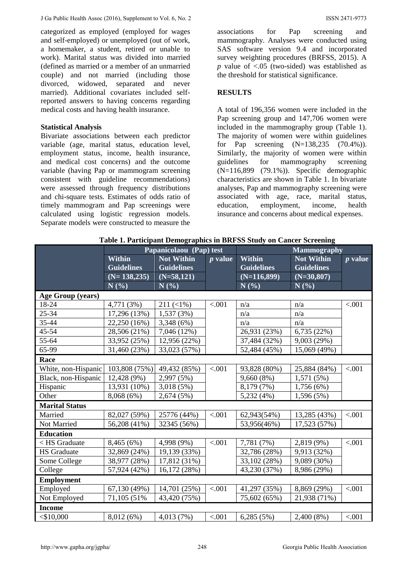categorized as employed (employed for wages and self-employed) or unemployed (out of work, a homemaker, a student, retired or unable to work). Marital status was divided into married (defined as married or a member of an unmarried couple) and not married (including those divorced, widowed, separated and never married). Additional covariates included selfreported answers to having concerns regarding medical costs and having health insurance.

#### **Statistical Analysis**

Bivariate associations between each predictor variable (age, marital status, education level, employment status, income, health insurance, and medical cost concerns) and the outcome variable (having Pap or mammogram screening consistent with guideline recommendations) were assessed through frequency distributions and chi-square tests. Estimates of odds ratio of timely mammogram and Pap screenings were calculated using logistic regression models. Separate models were constructed to measure the

associations for Pap screening and mammography. Analyses were conducted using SAS software version 9.4 and incorporated survey weighting procedures (BRFSS, 2015). A *p* value of <.05 (two-sided) was established as the threshold for statistical significance.

# **RESULTS**

A total of 196,356 women were included in the Pap screening group and 147,706 women were included in the mammography group (Table 1). The majority of women were within guidelines for Pap screening (N=138,235 (70.4%)). Similarly, the majority of women were within guidelines for mammography screening (N=116,899 (79.1%)). Specific demographic characteristics are shown in Table 1. In bivariate analyses, Pap and mammography screening were associated with age, race, marital status, education, employment, income, health insurance and concerns about medical expenses.

|                                   | Papanicolaou (Pap) test     |                   |                     | <b>Mammography</b> |                   |           |  |
|-----------------------------------|-----------------------------|-------------------|---------------------|--------------------|-------------------|-----------|--|
|                                   | Within<br><b>Not Within</b> |                   | Within<br>$p$ value |                    | <b>Not Within</b> | $p$ value |  |
|                                   | <b>Guidelines</b>           | <b>Guidelines</b> |                     | <b>Guidelines</b>  | <b>Guidelines</b> |           |  |
|                                   | $(N=138,235)$               | $(N=58,121)$      |                     | $(N=116,899)$      | $(N=30,807)$      |           |  |
|                                   | N(%)                        | N(%)              |                     | N(%)               | $N($ % $)$        |           |  |
| Age Group (years)                 |                             |                   |                     |                    |                   |           |  |
| 18-24                             | 4,771 (3%)                  | $211 (\le 1\%)$   | $-.001$             | n/a                | n/a               | < .001    |  |
| 25-34                             | 17,296 (13%)                | 1,537 (3%)        |                     | n/a                | n/a               |           |  |
| 35-44                             | 22,250 (16%)                | 3,348 (6%)        |                     | n/a                | n/a               |           |  |
| 45-54                             | 28,506 (21%)                | 7,046 (12%)       |                     | 26,931 (23%)       | 6,735 (22%)       |           |  |
| 55-64                             | 33,952 (25%)                | 12,956 (22%)      |                     | 37,484 (32%)       | 9,003 (29%)       |           |  |
| 65-99                             | 31,460 (23%)                | 33,023 (57%)      |                     | 52,484 (45%)       | 15,069 (49%)      |           |  |
| Race                              |                             |                   |                     |                    |                   |           |  |
| White, non-Hispanic 103,808 (75%) |                             | 49,432 (85%)      | < .001              | 93,828 (80%)       | 25,884 (84%)      | < .001    |  |
| Black, non-Hispanic               | 12,428 (9%)                 | 2,997 (5%)        |                     | 9,660(8%)          | 1,571 (5%)        |           |  |
| Hispanic                          | 13,931 (10%)                | 3,018(5%)         |                     | 8,179 (7%)         | 1,756(6%)         |           |  |
| Other                             | 8,068 (6%)                  | 2,674 (5%)        |                     | 5,232 (4%)         | 1,596 (5%)        |           |  |
| <b>Marital Status</b>             |                             |                   |                     |                    |                   |           |  |
| Married                           | 82,027 (59%)                | 25776 (44%)       | < .001              | 62,943(54%)        | 13,285 (43%)      | < .001    |  |
| Not Married                       | 56,208 (41%)                | 32345 (56%)       |                     | 53,956(46%)        | 17,523 (57%)      |           |  |
| <b>Education</b>                  |                             |                   |                     |                    |                   |           |  |
| $\langle$ HS Graduate             | 8,465 (6%)                  | 4,998 (9%)        | < .001              | 7,781 (7%)         | 2,819 (9%)        | < .001    |  |
| <b>HS</b> Graduate                | 32,869 (24%)                | 19,139 (33%)      |                     | 32,786 (28%)       | 9,913 (32%)       |           |  |
| Some College                      | 38,977 (28%)                | 17,812 (31%)      |                     | 33,102 (28%)       | 9,089 (30%)       |           |  |
| College                           | 57,924 (42%)                | 16,172 (28%)      |                     | 43,230 (37%)       | 8,986 (29%)       |           |  |
| <b>Employment</b>                 |                             |                   |                     |                    |                   |           |  |
| Employed                          | 67,130 (49%)                | 14,701 (25%)      | < .001              | 41,297 (35%)       | 8,869 (29%)       | < .001    |  |
| Not Employed                      | 71,105 (51%)                | 43,420 (75%)      |                     | 75,602 (65%)       | 21,938 (71%)      |           |  |
| <b>Income</b>                     |                             |                   |                     |                    |                   |           |  |
| $<$ \$10,000                      | 8,012(6%)                   | 4,013 (7%)        | < .001              | 6,285(5%)          | 2,400 (8%)        | < .001    |  |

**Table 1. Participant Demographics in BRFSS Study on Cancer Screening**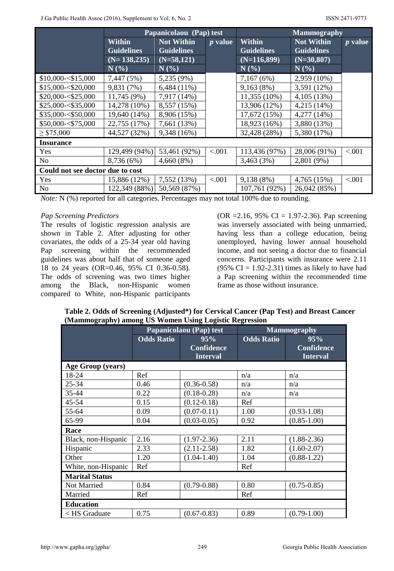|                                  | Papanicolaou (Pap) test |                   |                | <b>Mammography</b> |                   |                |  |
|----------------------------------|-------------------------|-------------------|----------------|--------------------|-------------------|----------------|--|
|                                  | Within                  | <b>Not Within</b> | <i>p</i> value | Within             | <b>Not Within</b> | <i>p</i> value |  |
|                                  | <b>Guidelines</b>       | <b>Guidelines</b> |                | <b>Guidelines</b>  | <b>Guidelines</b> |                |  |
|                                  | $(N=138,235)$           | $(N=58,121)$      |                | $(N=116,899)$      | $(N=30,807)$      |                |  |
|                                  | $N(\%)$                 | N(%)              |                | N(%)               | N(%)              |                |  |
| \$10,000 < \$15,000              | 7,447 (5%)              | 5,235 (9%)        |                | 7,167(6%)          | 2,959 (10%)       |                |  |
| \$15,000 < \$20,000              | 9,831 (7%)              | $6,484(11\%)$     |                | 9,163(8%)          | 3,591 (12%)       |                |  |
| \$20,000 < \$25,000              | 11,745 (9%)             | 7,917 (14%)       |                | 11,355 (10%)       | 4,105 (13%)       |                |  |
| \$25,000 < \$35,000              | 14,278 (10%)            | 8,557 (15%)       |                | 13,906 (12%)       | 4,215 (14%)       |                |  |
| \$35,000 < \$50,000              | 19,640 (14%)            | 8,906 (15%)       |                | 17,672 (15%)       | 4,277 (14%)       |                |  |
| \$50,000 < \$75,000              | 22,755 (17%)            | 7,661 (13%)       |                | 18,923 (16%)       | 3,880 (13%)       |                |  |
| $\geq$ \$75,000                  | 44,527 (32%)            | 9,348 (16%)       |                | 32,428 (28%)       | 5,380 (17%)       |                |  |
| <b>Insurance</b>                 |                         |                   |                |                    |                   |                |  |
| Yes                              | 129,499 (94%)           | 53,461 (92%)      | < 0.001        | 113,436 (97%)      | 28,006 (91%)      | < 0.001        |  |
| N <sub>0</sub>                   | 8,736 (6%)              | 4,660(8%)         |                | 3,463(3%)          | 2,801 (9%)        |                |  |
| Could not see doctor due to cost |                         |                   |                |                    |                   |                |  |
| Yes                              | 15,886 (12%)            | 7,552 (13%)       | < 0.001        | 9,138 (8%)         | 4,765 (15%)       | < 0.001        |  |
| N <sub>0</sub>                   | 122,349 (88%)           | 50,569 (87%)      |                | 107,761 (92%)      | 26,042 (85%)      |                |  |

*Note:* N (%) reported for all categories. Percentages may not total 100% due to rounding.

# *Pap Screening Predictors*

The results of logistic regression analysis are shown in Table 2. After adjusting for other covariates, the odds of a 25-34 year old having Pap screening within the recommended guidelines was about half that of someone aged 18 to 24 years (OR=0.46, 95% CI 0.36-0.58). The odds of screening was two times higher among the Black, non-Hispanic women compared to White, non-Hispanic participants

(OR = 2.16, 95% CI = 1.97-2.36). Pap screening was inversely associated with being unmarried, having less than a college education, being unemployed, having lower annual household income, and not seeing a doctor due to financial concerns. Participants with insurance were 2.11  $(95\% \text{ CI} = 1.92 - 2.31)$  times as likely to have had a Pap screening within the recommended time frame as those without insurance.

| Table 2. Odds of Screening (Adjusted*) for Cervical Cancer (Pap Test) and Breast Cancer |
|-----------------------------------------------------------------------------------------|
| (Mammography) among US Women Using Logistic Regression                                  |

|                          | Papanicolaou (Pap) test |                                             | <b>Mammography</b> |                                             |  |
|--------------------------|-------------------------|---------------------------------------------|--------------------|---------------------------------------------|--|
|                          | <b>Odds Ratio</b>       | 95%<br><b>Confidence</b><br><b>Interval</b> | <b>Odds Ratio</b>  | 95%<br><b>Confidence</b><br><b>Interval</b> |  |
| <b>Age Group (years)</b> |                         |                                             |                    |                                             |  |
| 18-24                    | Ref                     |                                             | n/a                | n/a                                         |  |
| 25-34                    | 0.46                    | $(0.36 - 0.58)$                             | n/a                | n/a                                         |  |
| 35-44                    | 0.22                    | $(0.18 - 0.28)$                             | n/a                | n/a                                         |  |
| 45-54                    | 0.15                    | $(0.12 - 0.18)$                             | Ref                |                                             |  |
| 55-64                    | 0.09                    | $(0.07 - 0.11)$                             | 1.00               | $(0.93 - 1.08)$                             |  |
| 65-99                    | 0.04                    | $(0.03 - 0.05)$                             | 0.92               | $(0.85 - 1.00)$                             |  |
| Race                     |                         |                                             |                    |                                             |  |
| Black, non-Hispanic      | 2.16                    | $(1.97 - 2.36)$                             | 2.11               | $(1.88 - 2.36)$                             |  |
| Hispanic                 | 2.33                    | $(2.11 - 2.58)$                             | 1.82               | $(1.60 - 2.07)$                             |  |
| Other                    | 1.20                    | $(1.04 - 1.40)$                             | 1.04               | $(0.88 - 1.22)$                             |  |
| White, non-Hispanic      | Ref                     |                                             | Ref                |                                             |  |
| <b>Marital Status</b>    |                         |                                             |                    |                                             |  |
| Not Married              | 0.84                    | $(0.79 - 0.88)$                             | 0.80               | $(0.75 - 0.85)$                             |  |
| Married                  | Ref                     |                                             | Ref                |                                             |  |
| <b>Education</b>         |                         |                                             |                    |                                             |  |
| $\langle$ HS Graduate    | 0.75                    | $(0.67 - 0.83)$                             | 0.89               | $(0.79 - 1.00)$                             |  |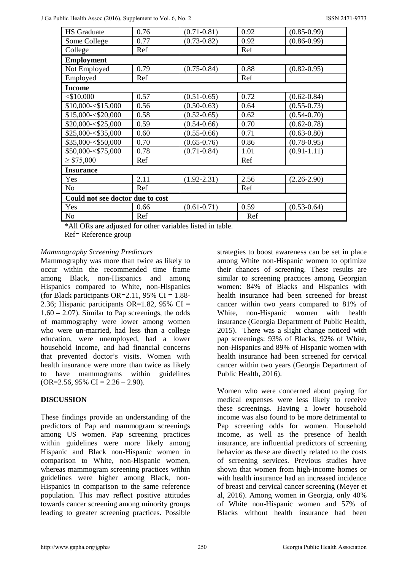| <b>HS</b> Graduate               | 0.76 | $(0.71 - 0.81)$ | 0.92 | $(0.85 - 0.99)$ |  |  |
|----------------------------------|------|-----------------|------|-----------------|--|--|
| Some College                     | 0.77 | $(0.73 - 0.82)$ | 0.92 | $(0.86 - 0.99)$ |  |  |
| College                          | Ref  |                 | Ref  |                 |  |  |
| <b>Employment</b>                |      |                 |      |                 |  |  |
| Not Employed                     | 0.79 | $(0.75 - 0.84)$ | 0.88 | $(0.82 - 0.95)$ |  |  |
| Employed                         | Ref  |                 | Ref  |                 |  |  |
| <b>Income</b>                    |      |                 |      |                 |  |  |
| $<$ \$10,000                     | 0.57 | $(0.51 - 0.65)$ | 0.72 | $(0.62 - 0.84)$ |  |  |
| \$10,000 < \$15,000              | 0.56 | $(0.50 - 0.63)$ | 0.64 | $(0.55 - 0.73)$ |  |  |
| \$15,000 < \$20,000              | 0.58 | $(0.52 - 0.65)$ | 0.62 | $(0.54 - 0.70)$ |  |  |
| \$20,000 < \$25,000              | 0.59 | $(0.54 - 0.66)$ | 0.70 | $(0.62 - 0.78)$ |  |  |
| \$25,000 < \$35,000              | 0.60 | $(0.55 - 0.66)$ | 0.71 | $(0.63 - 0.80)$ |  |  |
| \$35,000-<\$50,000               | 0.70 | $(0.65 - 0.76)$ | 0.86 | $(0.78 - 0.95)$ |  |  |
| \$50,000-<\$75,000               | 0.78 | $(0.71 - 0.84)$ | 1.01 | $(0.91 - 1.11)$ |  |  |
| $\geq$ \$75,000                  | Ref  |                 | Ref  |                 |  |  |
| <b>Insurance</b>                 |      |                 |      |                 |  |  |
| Yes                              | 2.11 | $(1.92 - 2.31)$ | 2.56 | $(2.26 - 2.90)$ |  |  |
| No                               | Ref  |                 | Ref  |                 |  |  |
| Could not see doctor due to cost |      |                 |      |                 |  |  |
| Yes                              | 0.66 | $(0.61 - 0.71)$ | 0.59 | $(0.53 - 0.64)$ |  |  |
| N <sub>o</sub>                   | Ref  |                 | Ref  |                 |  |  |

\*All ORs are adjusted for other variables listed in table. Ref= Reference group

# *Mammography Screening Predictors*

Mammography was more than twice as likely to occur within the recommended time frame among Black, non-Hispanics and among Hispanics compared to White, non-Hispanics (for Black participants OR=2.11, 95% CI =  $1.88$ -2.36; Hispanic participants OR=1.82, 95% CI =  $1.60 - 2.07$ ). Similar to Pap screenings, the odds of mammography were lower among women who were un-married, had less than a college education, were unemployed, had a lower household income, and had financial concerns that prevented doctor's visits. Women with health insurance were more than twice as likely to have mammograms within guidelines  $(OR=2.56, 95\% \text{ CI} = 2.26 - 2.90).$ 

# **DISCUSSION**

These findings provide an understanding of the predictors of Pap and mammogram screenings among US women. Pap screening practices within guidelines were more likely among Hispanic and Black non-Hispanic women in comparison to White, non-Hispanic women, whereas mammogram screening practices within guidelines were higher among Black, non-Hispanics in comparison to the same reference population. This may reflect positive attitudes towards cancer screening among minority groups leading to greater screening practices. Possible

strategies to boost awareness can be set in place among White non-Hispanic women to optimize their chances of screening. These results are similar to screening practices among Georgian women: 84% of Blacks and Hispanics with health insurance had been screened for breast cancer within two years compared to 81% of White, non-Hispanic women with health insurance (Georgia Department of Public Health, 2015). There was a slight change noticed with pap screenings: 93% of Blacks, 92% of White, non-Hispanics and 89% of Hispanic women with health insurance had been screened for cervical cancer within two years (Georgia Department of Public Health, 2016).

Women who were concerned about paying for medical expenses were less likely to receive these screenings. Having a lower household income was also found to be more detrimental to Pap screening odds for women. Household income, as well as the presence of health insurance, are influential predictors of screening behavior as these are directly related to the costs of screening services. Previous studies have shown that women from high-income homes or with health insurance had an increased incidence of breast and cervical cancer screening (Meyer et al, 2016). Among women in Georgia, only 40% of White non-Hispanic women and 57% of Blacks without health insurance had been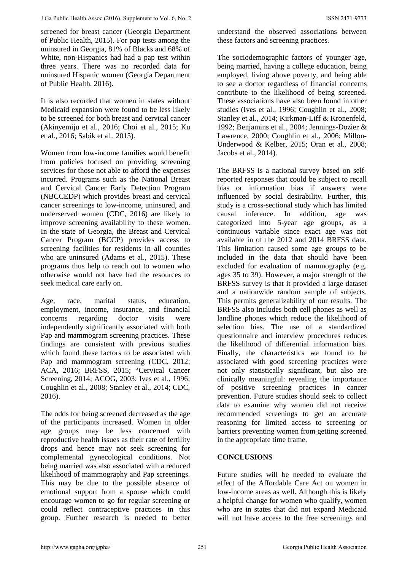screened for breast cancer (Georgia Department of Public Health, 2015). For pap tests among the uninsured in Georgia, 81% of Blacks and 68% of White, non-Hispanics had had a pap test within three years. There was no recorded data for uninsured Hispanic women (Georgia Department of Public Health, 2016).

It is also recorded that women in states without Medicaid expansion were found to be less likely to be screened for both breast and cervical cancer (Akinyemiju et al., 2016; Choi et al., 2015; Ku et al., 2016; Sabik et al., 2015).

Women from low-income families would benefit from policies focused on providing screening services for those not able to afford the expenses incurred. Programs such as the National Breast and Cervical Cancer Early Detection Program (NBCCEDP) which provides breast and cervical cancer screenings to low-income, uninsured, and underserved women (CDC, 2016) are likely to improve screening availability to these women. In the state of Georgia, the Breast and Cervical Cancer Program (BCCP) provides access to screening facilities for residents in all counties who are uninsured (Adams et al., 2015). These programs thus help to reach out to women who otherwise would not have had the resources to seek medical care early on.

Age, race, marital status, education, employment, income, insurance, and financial concerns regarding doctor visits were independently significantly associated with both Pap and mammogram screening practices. These findings are consistent with previous studies which found these factors to be associated with Pap and mammogram screening (CDC, 2012; ACA, 2016; BRFSS, 2015; "Cervical Cancer Screening, 2014; ACOG, 2003; Ives et al., 1996; Coughlin et al., 2008; Stanley et al., 2014; CDC, 2016).

The odds for being screened decreased as the age of the participants increased. Women in older age groups may be less concerned with reproductive health issues as their rate of fertility drops and hence may not seek screening for complemental gynecological conditions. Not being married was also associated with a reduced likelihood of mammography and Pap screenings. This may be due to the possible absence of emotional support from a spouse which could encourage women to go for regular screening or could reflect contraceptive practices in this group. Further research is needed to better

understand the observed associations between these factors and screening practices.

The sociodemographic factors of younger age, being married, having a college education, being employed, living above poverty, and being able to see a doctor regardless of financial concerns contribute to the likelihood of being screened. These associations have also been found in other studies (Ives et al., 1996; Coughlin et al., 2008; Stanley et al., 2014; Kirkman-Liff & Kronenfeld, 1992; Benjamins et al., 2004; Jennings-Dozier & Lawrence, 2000; Coughlin et al., 2006; Millon-Underwood & Kelber, 2015; Oran et al., 2008; Jacobs et al., 2014).

The BRFSS is a national survey based on selfreported responses that could be subject to recall bias or information bias if answers were influenced by social desirability. Further, this study is a cross-sectional study which has limited causal inference. In addition, age was categorized into 5-year age groups, as a continuous variable since exact age was not available in of the 2012 and 2014 BRFSS data. This limitation caused some age groups to be included in the data that should have been excluded for evaluation of mammography (e.g. ages 35 to 39). However, a major strength of the BRFSS survey is that it provided a large dataset and a nationwide random sample of subjects. This permits generalizability of our results. The BRFSS also includes both cell phones as well as landline phones which reduce the likelihood of selection bias. The use of a standardized questionnaire and interview procedures reduces the likelihood of differential information bias. Finally, the characteristics we found to be associated with good screening practices were not only statistically significant, but also are clinically meaningful: revealing the importance of positive screening practices in cancer prevention. Future studies should seek to collect data to examine why women did not receive recommended screenings to get an accurate reasoning for limited access to screening or barriers preventing women from getting screened in the appropriate time frame.

# **CONCLUSIONS**

Future studies will be needed to evaluate the effect of the Affordable Care Act on women in low-income areas as well. Although this is likely a helpful change for women who qualify, women who are in states that did not expand Medicaid will not have access to the free screenings and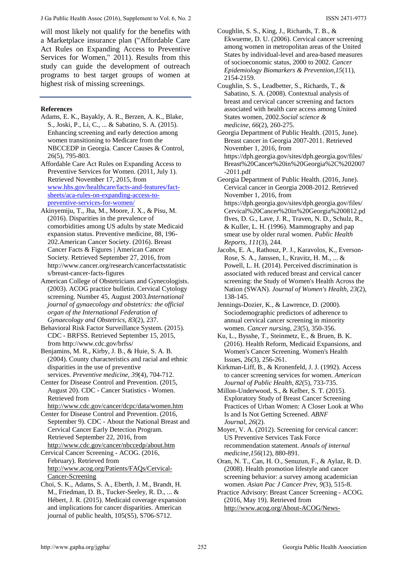will most likely not qualify for the benefits with a Marketplace insurance plan ("Affordable Care Act Rules on Expanding Access to Preventive Services for Women," 2011). Results from this study can guide the development of outreach programs to best target groups of women at highest risk of missing screenings.

#### **References**

Adams, E. K., Bayakly, A. R., Berzen, A. K., Blake, S., Joski, P., Li, C., ... & Sabatino, S. A. (2015). Enhancing screening and early detection among women transitioning to Medicare from the NBCCEDP in Georgia. Cancer Causes & Control, 26(5), 795-803.

Affordable Care Act Rules on Expanding Access to Preventive Services for Women. (2011, July 1). Retrieved November 17, 2015, from [www.hhs.gov/healthcare/facts-and-features/fact](http://www.hhs.gov/healthcare/facts-and-features/fact-sheets/aca-rules-on-expanding-access-to-preventive-services-for-women/)[sheets/aca-rules-on-expanding-access-to](http://www.hhs.gov/healthcare/facts-and-features/fact-sheets/aca-rules-on-expanding-access-to-preventive-services-for-women/)[preventive-services-for-women/](http://www.hhs.gov/healthcare/facts-and-features/fact-sheets/aca-rules-on-expanding-access-to-preventive-services-for-women/)

- Akinyemiju, T., Jha, M., Moore, J. X., & Pisu, M. (2016). Disparities in the prevalence of comorbidities among US adults by state Medicaid expansion status. Preventive medicine, 88, 196- 202.American Cancer Society. (2016). Breast Cancer Facts & Figures | American Cancer Society. Retrieved September 27, 2016, from http://www.cancer.org/research/cancerfactsstatistic s/breast-cancer-facts-figures
- American College of Obstetricians and Gynecologists. (2003). ACOG practice bulletin. Cervical Cytology screening. Number 45, August 2003.*International journal of gynaecology and obstetrics: the official organ of the International Federation of Gynaecology and Obstetrics*, *83*(2), 237.
- Behavioral Risk Factor Surveillance System. (2015). CDC - BRFSS. Retrieved September 15, 2015, from http://www.cdc.gov/brfss/

Benjamins, M. R., Kirby, J. B., & Huie, S. A. B. (2004). County characteristics and racial and ethnic disparities in the use of preventive services. *Preventive medicine*, *39*(4), 704-712.

Center for Disease Control and Prevention. (2015, August 20). CDC - Cancer Statistics - Women. Retrieved from

<http://www.cdc.gov/cancer/dcpc/data/women.htm>

Center for Disease Control and Prevention. (2016, September 9). CDC - About the National Breast and Cervical Cancer Early Detection Program. Retrieved September 22, 2016, from <http://www.cdc.gov/cancer/nbccedp/about.htm>

Cervical Cancer Screening - ACOG. (2016, February). Retrieved from [http://www.acog.org/Patients/FAQs/Cervical-](http://www.acog.org/Patients/FAQs/Cervical-Cancer-Screening)[Cancer-Screening](http://www.acog.org/Patients/FAQs/Cervical-Cancer-Screening)

Choi, S. K., Adams, S. A., Eberth, J. M., Brandt, H. M., Friedman, D. B., Tucker-Seeley, R. D., ... & Hébert, J. R. (2015). Medicaid coverage expansion and implications for cancer disparities. American journal of public health, 105(S5), S706-S712.

Coughlin, S. S., King, J., Richards, T. B., & Ekwueme, D. U. (2006). Cervical cancer screening among women in metropolitan areas of the United States by individual-level and area-based measures of socioeconomic status, 2000 to 2002. *Cancer Epidemiology Biomarkers & Prevention*,*15*(11), 2154-2159.

Coughlin, S. S., Leadbetter, S., Richards, T., & Sabatino, S. A. (2008). Contextual analysis of breast and cervical cancer screening and factors associated with health care access among United States women, 2002.*Social science & medicine*, *66*(2), 260-275.

Georgia Department of Public Health. (2015, June). Breast cancer in Georgia 2007-2011. Retrieved November 1, 2016, from https://dph.georgia.gov/sites/dph.georgia.gov/files/ Breast%20Cancer%20in%20Georgia%2C%202007 -2011.pdf

Georgia Department of Public Health. (2016, June). Cervical cancer in Georgia 2008-2012. Retrieved November 1, 2016, from https://dph.georgia.gov/sites/dph.georgia.gov/files/ Cervical%20Cancer%20in%20Georgia%200812.pd fIves, D. G., Lave, J. R., Traven, N. D., Schulz, R., & Kuller, L. H. (1996). Mammography and pap smear use by older rural women. *Public Health Reports*, *111*(3), 244.

Jacobs, E. A., Rathouz, P. J., Karavolos, K., Everson-Rose, S. A., Janssen, I., Kravitz, H. M., ... & Powell, L. H. (2014). Perceived discrimination is associated with reduced breast and cervical cancer screening: the Study of Women's Health Across the Nation (SWAN). *Journal of Women's Health*, *23*(2), 138-145.

Jennings-Dozier, K., & Lawrence, D. (2000). Sociodemographic predictors of adherence to annual cervical cancer screening in minority women. *Cancer nursing*, *23*(5), 350-356.

Ku, L., Bysshe, T., Steinmetz, E., & Bruen, B. K. (2016). Health Reform, Medicaid Expansions, and Women's Cancer Screening. Women's Health Issues, 26(3), 256-261.

Kirkman-Liff, B., & Kronenfeld, J. J. (1992). Access to cancer screening services for women. *American Journal of Public Health*, *82*(5), 733-735.

Millon-Underwood, S., & Kelber, S. T. (2015). Exploratory Study of Breast Cancer Screening Practices of Urban Women: A Closer Look at Who Is and Is Not Getting Screened. *ABNF Journal*, *26*(2).

Moyer, V. A. (2012). Screening for cervical cancer: US Preventive Services Task Force recommendation statement. *Annals of internal medicine*,*156*(12), 880-891.

Oran, N. T., Can, H. O., Senuzun, F., & Aylaz, R. D. (2008). Health promotion lifestyle and cancer screening behavior: a survey among academician women. *Asian Pac J Cancer Prev*, *9*(3), 515-8.

Practice Advisory: Breast Cancer Screening - ACOG. (2016, May 19). Retrieved from [http://www.acog.org/About-ACOG/News-](http://www.acog.org/About-ACOG/News-Room/Practice-Advisories/Practice-Advisory-Breast-Cancer-Screening)